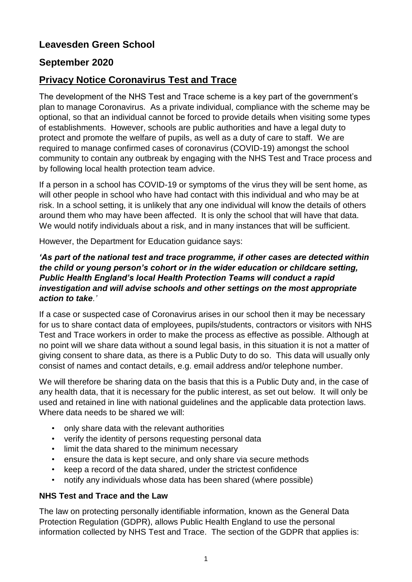# **Leavesden Green School**

## **September 2020**

## **Privacy Notice Coronavirus Test and Trace**

The development of the NHS Test and Trace scheme is a key part of the government's plan to manage Coronavirus. As a private individual, compliance with the scheme may be optional, so that an individual cannot be forced to provide details when visiting some types of establishments. However, schools are public authorities and have a legal duty to protect and promote the welfare of pupils, as well as a duty of care to staff. We are required to manage confirmed cases of coronavirus (COVID-19) amongst the school community to contain any outbreak by engaging with the NHS Test and Trace process and by following local health protection team advice.

If a person in a school has COVID-19 or symptoms of the virus they will be sent home, as will other people in school who have had contact with this individual and who may be at risk. In a school setting, it is unlikely that any one individual will know the details of others around them who may have been affected. It is only the school that will have that data. We would notify individuals about a risk, and in many instances that will be sufficient.

However, the Department for Education guidance says:

### *'As part of the national test and trace programme, if other cases are detected within the child or young person's cohort or in the wider education or childcare setting, Public Health England's local Health Protection Teams will conduct a rapid investigation and will advise schools and other settings on the most appropriate action to take.'*

If a case or suspected case of Coronavirus arises in our school then it may be necessary for us to share contact data of employees, pupils/students, contractors or visitors with NHS Test and Trace workers in order to make the process as effective as possible. Although at no point will we share data without a sound legal basis, in this situation it is not a matter of giving consent to share data, as there is a Public Duty to do so. This data will usually only consist of names and contact details, e.g. email address and/or telephone number.

We will therefore be sharing data on the basis that this is a Public Duty and, in the case of any health data, that it is necessary for the public interest, as set out below. It will only be used and retained in line with national guidelines and the applicable data protection laws. Where data needs to be shared we will:

- only share data with the relevant authorities
- verify the identity of persons requesting personal data
- limit the data shared to the minimum necessary
- ensure the data is kept secure, and only share via secure methods
- keep a record of the data shared, under the strictest confidence
- notify any individuals whose data has been shared (where possible)

#### **NHS Test and Trace and the Law**

The law on protecting personally identifiable information, known as the General Data Protection Regulation (GDPR), allows Public Health England to use the personal information collected by NHS Test and Trace. The section of the GDPR that applies is: